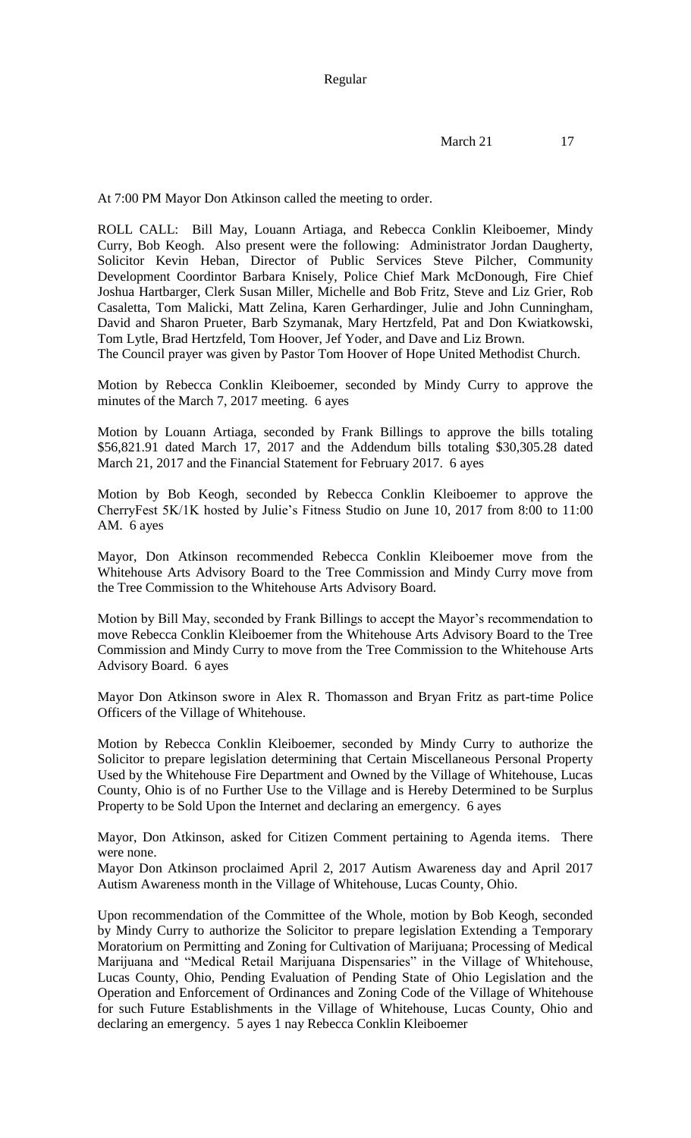At 7:00 PM Mayor Don Atkinson called the meeting to order.

ROLL CALL: Bill May, Louann Artiaga, and Rebecca Conklin Kleiboemer, Mindy Curry, Bob Keogh. Also present were the following: Administrator Jordan Daugherty, Solicitor Kevin Heban, Director of Public Services Steve Pilcher, Community Development Coordintor Barbara Knisely, Police Chief Mark McDonough, Fire Chief Joshua Hartbarger, Clerk Susan Miller, Michelle and Bob Fritz, Steve and Liz Grier, Rob Casaletta, Tom Malicki, Matt Zelina, Karen Gerhardinger, Julie and John Cunningham, David and Sharon Prueter, Barb Szymanak, Mary Hertzfeld, Pat and Don Kwiatkowski, Tom Lytle, Brad Hertzfeld, Tom Hoover, Jef Yoder, and Dave and Liz Brown.

The Council prayer was given by Pastor Tom Hoover of Hope United Methodist Church.

Motion by Rebecca Conklin Kleiboemer, seconded by Mindy Curry to approve the minutes of the March 7, 2017 meeting. 6 ayes

Motion by Louann Artiaga, seconded by Frank Billings to approve the bills totaling \$56,821.91 dated March 17, 2017 and the Addendum bills totaling \$30,305.28 dated March 21, 2017 and the Financial Statement for February 2017. 6 ayes

Motion by Bob Keogh, seconded by Rebecca Conklin Kleiboemer to approve the CherryFest 5K/1K hosted by Julie's Fitness Studio on June 10, 2017 from 8:00 to 11:00 AM. 6 ayes

Mayor, Don Atkinson recommended Rebecca Conklin Kleiboemer move from the Whitehouse Arts Advisory Board to the Tree Commission and Mindy Curry move from the Tree Commission to the Whitehouse Arts Advisory Board.

Motion by Bill May, seconded by Frank Billings to accept the Mayor's recommendation to move Rebecca Conklin Kleiboemer from the Whitehouse Arts Advisory Board to the Tree Commission and Mindy Curry to move from the Tree Commission to the Whitehouse Arts Advisory Board. 6 ayes

Mayor Don Atkinson swore in Alex R. Thomasson and Bryan Fritz as part-time Police Officers of the Village of Whitehouse.

Motion by Rebecca Conklin Kleiboemer, seconded by Mindy Curry to authorize the Solicitor to prepare legislation determining that Certain Miscellaneous Personal Property Used by the Whitehouse Fire Department and Owned by the Village of Whitehouse, Lucas County, Ohio is of no Further Use to the Village and is Hereby Determined to be Surplus Property to be Sold Upon the Internet and declaring an emergency. 6 ayes

Mayor, Don Atkinson, asked for Citizen Comment pertaining to Agenda items. There were none.

Mayor Don Atkinson proclaimed April 2, 2017 Autism Awareness day and April 2017 Autism Awareness month in the Village of Whitehouse, Lucas County, Ohio.

Upon recommendation of the Committee of the Whole, motion by Bob Keogh, seconded by Mindy Curry to authorize the Solicitor to prepare legislation Extending a Temporary Moratorium on Permitting and Zoning for Cultivation of Marijuana; Processing of Medical Marijuana and "Medical Retail Marijuana Dispensaries" in the Village of Whitehouse, Lucas County, Ohio, Pending Evaluation of Pending State of Ohio Legislation and the Operation and Enforcement of Ordinances and Zoning Code of the Village of Whitehouse for such Future Establishments in the Village of Whitehouse, Lucas County, Ohio and declaring an emergency. 5 ayes 1 nay Rebecca Conklin Kleiboemer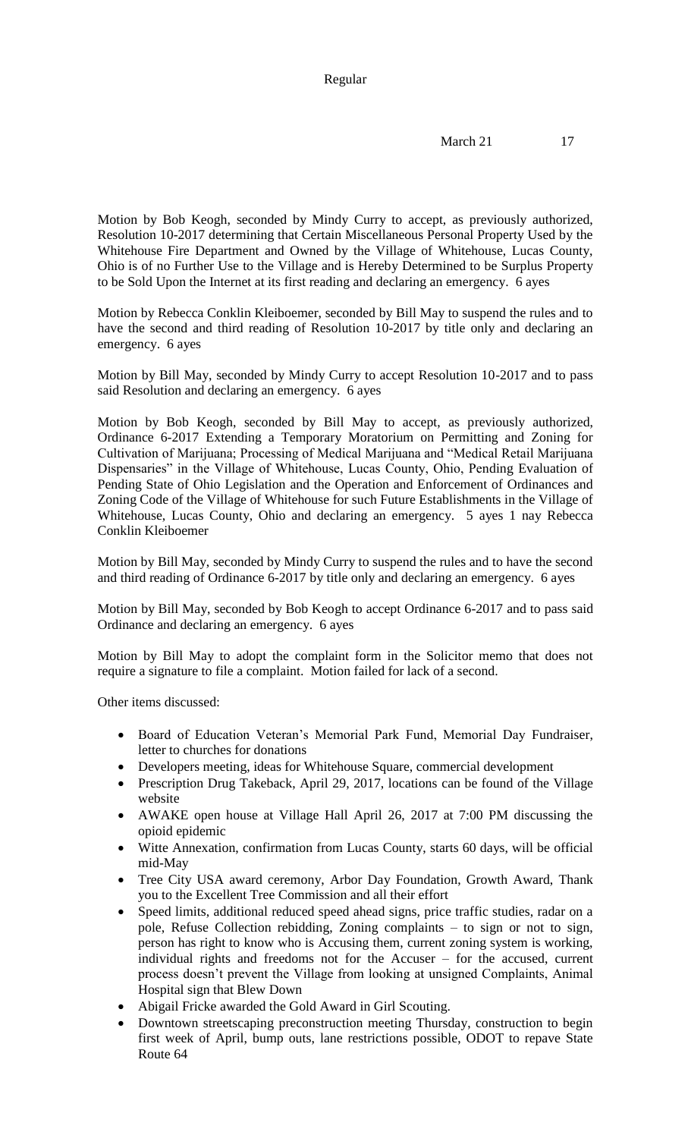Motion by Bob Keogh, seconded by Mindy Curry to accept, as previously authorized, Resolution 10-2017 determining that Certain Miscellaneous Personal Property Used by the Whitehouse Fire Department and Owned by the Village of Whitehouse, Lucas County, Ohio is of no Further Use to the Village and is Hereby Determined to be Surplus Property to be Sold Upon the Internet at its first reading and declaring an emergency. 6 ayes

Motion by Rebecca Conklin Kleiboemer, seconded by Bill May to suspend the rules and to have the second and third reading of Resolution 10-2017 by title only and declaring an emergency. 6 ayes

Motion by Bill May, seconded by Mindy Curry to accept Resolution 10-2017 and to pass said Resolution and declaring an emergency. 6 ayes

Motion by Bob Keogh, seconded by Bill May to accept, as previously authorized, Ordinance 6-2017 Extending a Temporary Moratorium on Permitting and Zoning for Cultivation of Marijuana; Processing of Medical Marijuana and "Medical Retail Marijuana Dispensaries" in the Village of Whitehouse, Lucas County, Ohio, Pending Evaluation of Pending State of Ohio Legislation and the Operation and Enforcement of Ordinances and Zoning Code of the Village of Whitehouse for such Future Establishments in the Village of Whitehouse, Lucas County, Ohio and declaring an emergency. 5 ayes 1 nay Rebecca Conklin Kleiboemer

Motion by Bill May, seconded by Mindy Curry to suspend the rules and to have the second and third reading of Ordinance 6-2017 by title only and declaring an emergency. 6 ayes

Motion by Bill May, seconded by Bob Keogh to accept Ordinance 6-2017 and to pass said Ordinance and declaring an emergency. 6 ayes

Motion by Bill May to adopt the complaint form in the Solicitor memo that does not require a signature to file a complaint. Motion failed for lack of a second.

Other items discussed:

- Board of Education Veteran's Memorial Park Fund, Memorial Day Fundraiser, letter to churches for donations
- Developers meeting, ideas for Whitehouse Square, commercial development
- Prescription Drug Takeback, April 29, 2017, locations can be found of the Village website
- AWAKE open house at Village Hall April 26, 2017 at 7:00 PM discussing the opioid epidemic
- Witte Annexation, confirmation from Lucas County, starts 60 days, will be official mid-May
- Tree City USA award ceremony, Arbor Day Foundation, Growth Award, Thank you to the Excellent Tree Commission and all their effort
- Speed limits, additional reduced speed ahead signs, price traffic studies, radar on a pole, Refuse Collection rebidding, Zoning complaints – to sign or not to sign, person has right to know who is Accusing them, current zoning system is working, individual rights and freedoms not for the Accuser – for the accused, current process doesn't prevent the Village from looking at unsigned Complaints, Animal Hospital sign that Blew Down
- Abigail Fricke awarded the Gold Award in Girl Scouting.
- Downtown streetscaping preconstruction meeting Thursday, construction to begin first week of April, bump outs, lane restrictions possible, ODOT to repave State Route 64